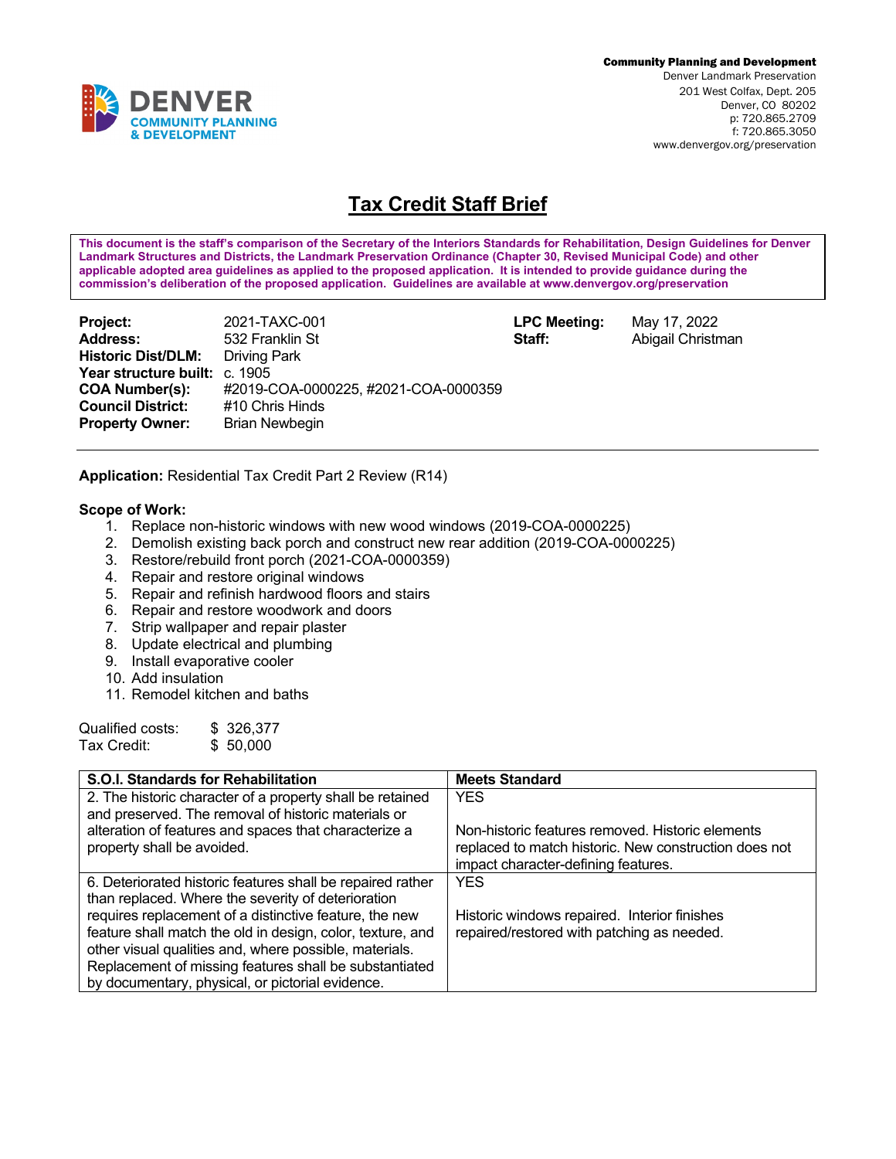

## Community Planning and Development Denver Landmark Preservation 201 West Colfax, Dept. 205 Denver, CO 80202 p: 720.865.2709 f: 720.865.3050 www.denvergov.org/preservation

## **Tax Credit Staff Brief**

**This document is the staff's comparison of the Secretary of the Interiors Standards for Rehabilitation, Design Guidelines for Denver Landmark Structures and Districts, the Landmark Preservation Ordinance (Chapter 30, Revised Municipal Code) and other applicable adopted area guidelines as applied to the proposed application. It is intended to provide guidance during the commission's deliberation of the proposed application. Guidelines are available at www.denvergov.org/preservation**

| <b>Project:</b>               | 2021-TAXC-001                        | <b>LPC Meeting:</b> | May 17, 2022      |
|-------------------------------|--------------------------------------|---------------------|-------------------|
| <b>Address:</b>               | 532 Franklin St                      | Staff:              | Abigail Christman |
| <b>Historic Dist/DLM:</b>     | <b>Driving Park</b>                  |                     |                   |
| Year structure built: c. 1905 |                                      |                     |                   |
| <b>COA Number(s):</b>         | #2019-COA-0000225, #2021-COA-0000359 |                     |                   |
| <b>Council District:</b>      | #10 Chris Hinds                      |                     |                   |
| <b>Property Owner:</b>        | <b>Brian Newbegin</b>                |                     |                   |

**Application:** Residential Tax Credit Part 2 Review (R14)

## **Scope of Work:**

- 1. Replace non-historic windows with new wood windows (2019-COA-0000225)
- 2. Demolish existing back porch and construct new rear addition (2019-COA-0000225)
- 3. Restore/rebuild front porch (2021-COA-0000359)
- 4. Repair and restore original windows
- 5. Repair and refinish hardwood floors and stairs
- 6. Repair and restore woodwork and doors
- 7. Strip wallpaper and repair plaster
- 8. Update electrical and plumbing
- 9. Install evaporative cooler
- 10. Add insulation
- 11. Remodel kitchen and baths

| Qualified costs: | \$ 326,377 |
|------------------|------------|
| Tax Credit:      | \$ 50,000  |

| S.O.I. Standards for Rehabilitation                        | <b>Meets Standard</b>                                 |
|------------------------------------------------------------|-------------------------------------------------------|
| 2. The historic character of a property shall be retained  | <b>YES</b>                                            |
| and preserved. The removal of historic materials or        |                                                       |
| alteration of features and spaces that characterize a      | Non-historic features removed. Historic elements      |
| property shall be avoided.                                 | replaced to match historic. New construction does not |
|                                                            | impact character-defining features.                   |
| 6. Deteriorated historic features shall be repaired rather | <b>YES</b>                                            |
| than replaced. Where the severity of deterioration         |                                                       |
| requires replacement of a distinctive feature, the new     | Historic windows repaired. Interior finishes          |
| feature shall match the old in design, color, texture, and | repaired/restored with patching as needed.            |
| other visual qualities and, where possible, materials.     |                                                       |
| Replacement of missing features shall be substantiated     |                                                       |
| by documentary, physical, or pictorial evidence.           |                                                       |